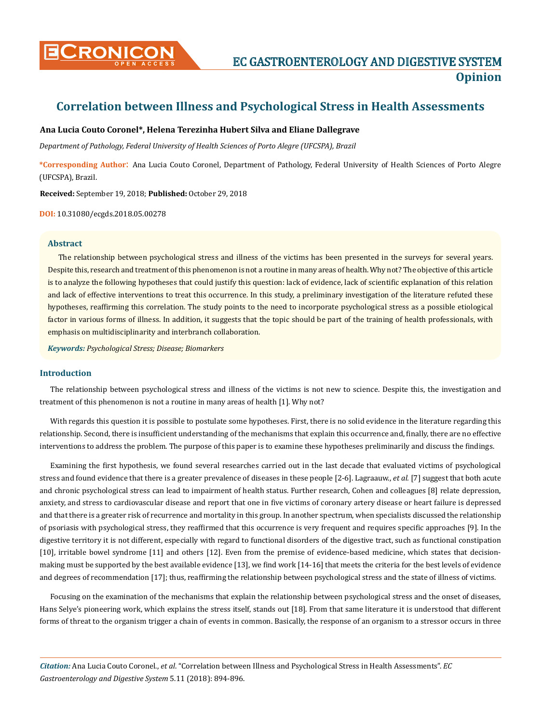

# **Correlation between Illness and Psychological Stress in Health Assessments**

## **Ana Lucia Couto Coronel\*, Helena Terezinha Hubert Silva and Eliane Dallegrave**

*Department of Pathology, Federal University of Health Sciences of Porto Alegre (UFCSPA), Brazil*

**\*Corresponding Author**: Ana Lucia Couto Coronel, Department of Pathology, Federal University of Health Sciences of Porto Alegre (UFCSPA), Brazil.

**Received:** September 19, 2018; **Published:** October 29, 2018

**DOI:** 10.31080/ecgds.2018.05.00278

#### **Abstract**

The relationship between psychological stress and illness of the victims has been presented in the surveys for several years. Despite this, research and treatment of this phenomenon is not a routine in many areas of health. Why not? The objective of this article is to analyze the following hypotheses that could justify this question: lack of evidence, lack of scientific explanation of this relation and lack of effective interventions to treat this occurrence. In this study, a preliminary investigation of the literature refuted these hypotheses, reaffirming this correlation. The study points to the need to incorporate psychological stress as a possible etiological factor in various forms of illness. In addition, it suggests that the topic should be part of the training of health professionals, with emphasis on multidisciplinarity and interbranch collaboration.

*Keywords: Psychological Stress; Disease; Biomarkers*

#### **Introduction**

The relationship between psychological stress and illness of the victims is not new to science. Despite this, the investigation and treatment of this phenomenon is not a routine in many areas of health [1]. Why not?

With regards this question it is possible to postulate some hypotheses. First, there is no solid evidence in the literature regarding this relationship. Second, there is insufficient understanding of the mechanisms that explain this occurrence and, finally, there are no effective interventions to address the problem. The purpose of this paper is to examine these hypotheses preliminarily and discuss the findings.

Examining the first hypothesis, we found several researches carried out in the last decade that evaluated victims of psychological stress and found evidence that there is a greater prevalence of diseases in these people [2-6]. Lagraauw., *et al.* [7] suggest that both acute and chronic psychological stress can lead to impairment of health status. Further research, Cohen and colleagues [8] relate depression, anxiety, and stress to cardiovascular disease and report that one in five victims of coronary artery disease or heart failure is depressed and that there is a greater risk of recurrence and mortality in this group. In another spectrum, when specialists discussed the relationship of psoriasis with psychological stress, they reaffirmed that this occurrence is very frequent and requires specific approaches [9]. In the digestive territory it is not different, especially with regard to functional disorders of the digestive tract, such as functional constipation [10], irritable bowel syndrome [11] and others [12]. Even from the premise of evidence-based medicine, which states that decisionmaking must be supported by the best available evidence [13], we find work [14-16] that meets the criteria for the best levels of evidence and degrees of recommendation [17]; thus, reaffirming the relationship between psychological stress and the state of illness of victims.

Focusing on the examination of the mechanisms that explain the relationship between psychological stress and the onset of diseases, Hans Selye's pioneering work, which explains the stress itself, stands out [18]. From that same literature it is understood that different forms of threat to the organism trigger a chain of events in common. Basically, the response of an organism to a stressor occurs in three

*Citation:* Ana Lucia Couto Coronel., *et al*. "Correlation between Illness and Psychological Stress in Health Assessments". *EC Gastroenterology and Digestive System* 5.11 (2018): 894-896.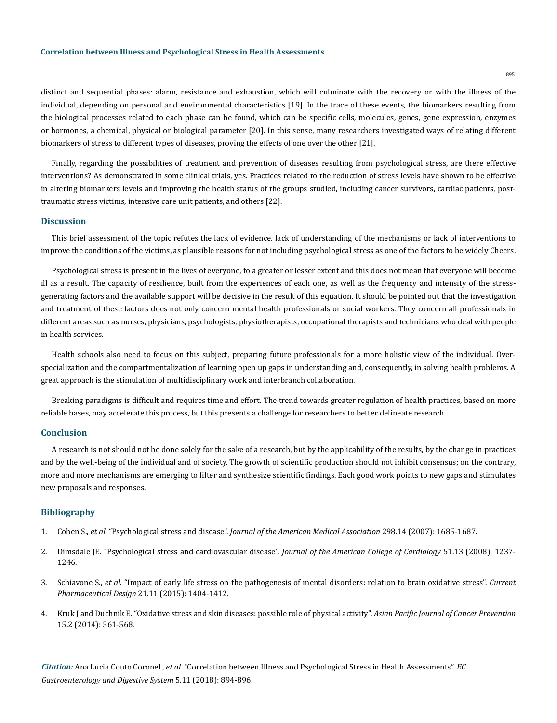distinct and sequential phases: alarm, resistance and exhaustion, which will culminate with the recovery or with the illness of the individual, depending on personal and environmental characteristics [19]. In the trace of these events, the biomarkers resulting from the biological processes related to each phase can be found, which can be specific cells, molecules, genes, gene expression, enzymes or hormones, a chemical, physical or biological parameter [20]. In this sense, many researchers investigated ways of relating different biomarkers of stress to different types of diseases, proving the effects of one over the other [21].

Finally, regarding the possibilities of treatment and prevention of diseases resulting from psychological stress, are there effective interventions? As demonstrated in some clinical trials, yes. Practices related to the reduction of stress levels have shown to be effective in altering biomarkers levels and improving the health status of the groups studied, including cancer survivors, cardiac patients, posttraumatic stress victims, intensive care unit patients, and others [22].

#### **Discussion**

This brief assessment of the topic refutes the lack of evidence, lack of understanding of the mechanisms or lack of interventions to improve the conditions of the victims, as plausible reasons for not including psychological stress as one of the factors to be widely Cheers.

Psychological stress is present in the lives of everyone, to a greater or lesser extent and this does not mean that everyone will become ill as a result. The capacity of resilience, built from the experiences of each one, as well as the frequency and intensity of the stressgenerating factors and the available support will be decisive in the result of this equation. It should be pointed out that the investigation and treatment of these factors does not only concern mental health professionals or social workers. They concern all professionals in different areas such as nurses, physicians, psychologists, physiotherapists, occupational therapists and technicians who deal with people in health services.

Health schools also need to focus on this subject, preparing future professionals for a more holistic view of the individual. Overspecialization and the compartmentalization of learning open up gaps in understanding and, consequently, in solving health problems. A great approach is the stimulation of multidisciplinary work and interbranch collaboration.

Breaking paradigms is difficult and requires time and effort. The trend towards greater regulation of health practices, based on more reliable bases, may accelerate this process, but this presents a challenge for researchers to better delineate research.

### **Conclusion**

A research is not should not be done solely for the sake of a research, but by the applicability of the results, by the change in practices and by the well-being of the individual and of society. The growth of scientific production should not inhibit consensus; on the contrary, more and more mechanisms are emerging to filter and synthesize scientific findings. Each good work points to new gaps and stimulates new proposals and responses.

#### **Bibliography**

- 1. Cohen S., *et al*. "Psychological stress and disease". *[Journal of the American Medical Association](https://www.ncbi.nlm.nih.gov/pubmed/17925521)* 298.14 (2007): 1685-1687.
- 2. [Dimsdale JE. "Psychological stress and cardiovascular disease".](https://www.ncbi.nlm.nih.gov/pmc/articles/PMC2633295/) *Journal of the American College of Cardiology* 51.13 (2008): 1237- [1246.](https://www.ncbi.nlm.nih.gov/pmc/articles/PMC2633295/)
- 3. Schiavone S., *et al*[. "Impact of early life stress on the pathogenesis of mental disorders: relation to brain oxidative stress".](https://www.ncbi.nlm.nih.gov/pubmed/25564385) *Current Pharmaceutical Design* [21.11 \(2015\): 1404-1412.](https://www.ncbi.nlm.nih.gov/pubmed/25564385)
- 4. [Kruk J and Duchnik E. "Oxidative stress and skin diseases: possible role of physical activity".](https://www.ncbi.nlm.nih.gov/pubmed/24568458) *Asian Pacific Journal of Cancer Prevention*  [15.2 \(2014\): 561-568.](https://www.ncbi.nlm.nih.gov/pubmed/24568458)

*Citation:* Ana Lucia Couto Coronel., *et al*. "Correlation between Illness and Psychological Stress in Health Assessments". *EC Gastroenterology and Digestive System* 5.11 (2018): 894-896.

895